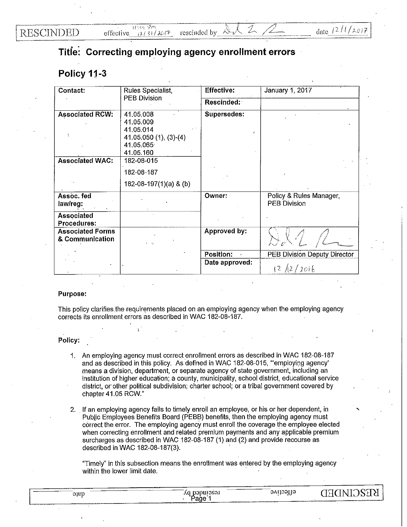**RESCINDED** 

## **Titie: Correcting employing agency enrollment errors**

## **Policy 11-3**

| Contact:                                   | Rules Specialist,                                 | <b>Effective:</b>  | January 1, 2017                                |
|--------------------------------------------|---------------------------------------------------|--------------------|------------------------------------------------|
|                                            | <b>PEB Division</b>                               | Rescinded:         |                                                |
| <b>Associated RCW:</b>                     | 41.05.008<br>41.05.009<br>41.05.014               | <b>Supersedes:</b> |                                                |
|                                            | $41.05.050(1), (3)-(4)$<br>41.05.065<br>41.05.160 |                    |                                                |
| <b>Associated WAC:</b>                     | 182-08-015                                        |                    |                                                |
|                                            | 182-08-187                                        |                    |                                                |
|                                            | 182-08-197(1)(a) & (b)                            |                    |                                                |
| Assoc. fed<br>law/reg:                     |                                                   | Owner:             | Policy & Rules Manager,<br><b>PEB Division</b> |
| Associated<br>Procedures:                  |                                                   |                    |                                                |
| <b>Associated Forms</b><br>& Communication |                                                   | Approved by:       |                                                |
|                                            |                                                   | <b>Position:</b>   | <b>PEB Division Deputy Director</b>            |
|                                            |                                                   | Date approved:     | 12/2016                                        |

## Purpose:

This policy clarifies the requirements placed on an employing agency when the employing agency corrects its enrollment errors as described in WAC 182-08-187.

## Policy:

- 1. An employing agency must correct enrollment errors as described in WAC 182-08-187 and as described in this policy. As defined in WAC 182-08-015, "'employing agency' means a division, department, or separate agency of state government, including an institution of higher education; a county, municipality, school district, educational service district, or other political subdivision; charter school; or a tribal government covered by chapter 41.05 RCW."
- 2. If an employing agency fails to timely enroll an employee, or his or her dependent, in Public Employees Benefits Board (PEBB) benefits, then the employing agency must correct the error. The employing agency must enroll the coverage the employee elected when correcting enrollment and related premium payments and any applicable premium surcharges as described in WAC 182-08-187 (1) and (2) and provide recourse as described in WAC 182-08-187(3).

"Timely" in this subsection means the enrollment was entered by the employing agency within the lower limit date.

| 010D | --------------<br>___<br>$\alpha$ milae $\alpha$ '<br>٨Q | ------<br>.<br>. .<br>w                                | 17<br>n                                                           |
|------|----------------------------------------------------------|--------------------------------------------------------|-------------------------------------------------------------------|
|      | 'Paġe ⊥                                                  | the contract of the second contract of the contract of | The contemporary company in the contemporary contents of the con- |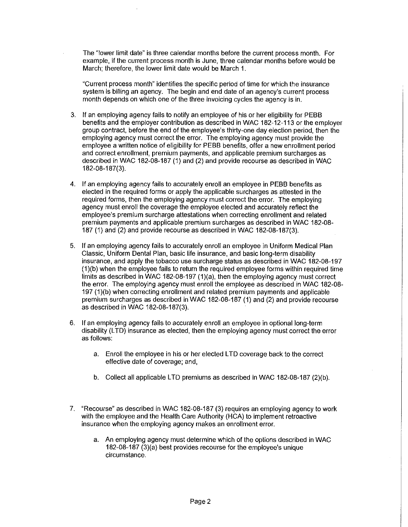The "lower limit date" is three calendar months before the current process month. For example, if the current process month is June, three calendar months before would be March; therefore, the lower limit date would be March 1.

"Current process month" identifies the specific period of time for which the insurance system is billing an agency. The begin and end date of an agency's current process month depends on which one of the three invoicing cycles the agency is in.

- 3. If an employing agency fails to notify an employee of his or her eligibility for PEBB benefits and the employer contribution as described in WAC 182-12-113 or the employer group contract, before the end of the employee's thirty-one day election period, then the employing agency must correct the error. The employing agency must provide the employee a written notice of eligibility for PEBB benefits, offer a new enrollment period and correct enrollment, premium payments, and applicable premium surcharges as described in WAC 182-08-187 (1) and (2) and provide recourse as described in WAC 182-08-187(3).
- 4. If an employing agency fails to accurately enroll an employee in PEBB benefits as elected in the required forms or apply the applicable surcharges as attested in the required forms, then the employing agency must correct the error. The employing agency must enroll the coverage the employee elected and accurately reflect the employee's premium surcharge attestations when correcting enrollment and related premium payments and applicable premium surcharges as described in WAC 182-08- 187 (1) and (2) and provide recourse as described in WAC 182-08-187(3).
- 5. If an employing agency fails to accurately enroll an employee in Uniform Medical Plan Classic, Uniform Dental Plan, basic life insurance, and basic long-term disability insurance, and apply the tobacco use surcharge status as described in WAC 182-08-197 (1)(b) when the employee fails to return the required employee forms within required time limits as described in WAC 182-08-197 (1)(a), then the employing agency must correct the error. The employing agency must enroll the employee as described in WAC 182-08- 197 (1)(b) when correcting enrollment and related premium payments and applicable premium surcharges as described in WAC 182-08-187 (1) and (2) and provide recourse as described in WAC 182-08-187(3).
- 6. If an employing agency fails to accurately enroll an employee in optional long-term disability (LTD) insurance as elected, then the employing agency must correct the error as follows:
	- a. Enroll the employee in his or her elected LTD coverage back to the correct effective date of coverage; and,
	- b. Collect all applicable LTD premiums as described in WAC 182-08-187 (2)(b).
- 7. "Recourse" as described in WAC 182-08-187 (3) requires an employing agency to work with the employee and the Health Care Authority (HCA) to implement retroactive insurance when the employing agency makes an enrollment error.
	- a. An employing agency must determine which of the options described in WAC 182-08-187 (3)(a) best provides recourse for the employee's unique circumstance.